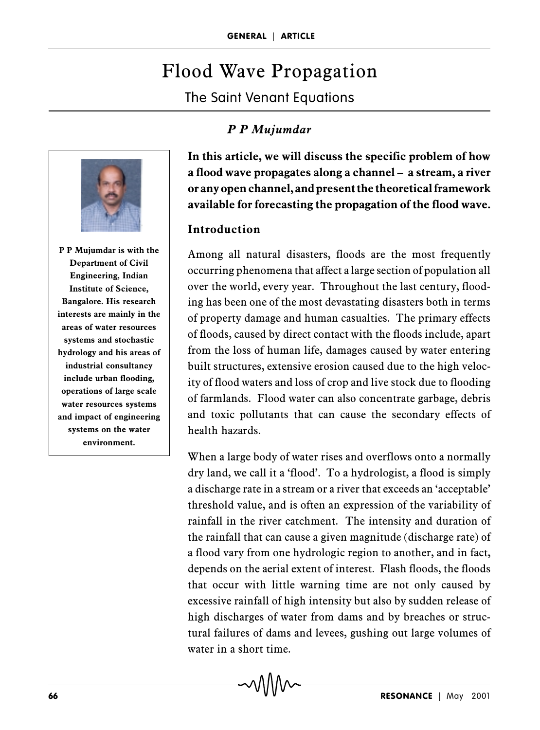# Flood Wave Propagation

The Saint Venant Equations

# P P Mujumdar



P P Mujumdar is with the **Department of Civil Engineering, Indian Institute of Science,** Bangalore. His research interests are mainly in the areas of water resources systems and stochastic hydrology and his areas of industrial consultancy include urban flooding, operations of large scale water resources systems and impact of engineering systems on the water environment.

In this article, we will discuss the specific problem of how a flood wave propagates along a channel – a stream, a river or any open channel, and present the theoretical framework available for forecasting the propagation of the flood wave.

## **Introduction**

Among all natural disasters, floods are the most frequently occurring phenomena that affect a large section of population all over the world, every year. Throughout the last century, flooding has been one of the most devastating disasters both in terms of property damage and human casualties. The primary effects of floods, caused by direct contact with the floods include, apart from the loss of human life, damages caused by water entering built structures, extensive erosion caused due to the high velocity of flood waters and loss of crop and live stock due to flooding of farmlands. Flood water can also concentrate garbage, debris and toxic pollutants that can cause the secondary effects of health hazards.

When a large body of water rises and overflows onto a normally dry land, we call it a 'flood'. To a hydrologist, a flood is simply a discharge rate in a stream or a river that exceeds an 'acceptable' threshold value, and is often an expression of the variability of rainfall in the river catchment. The intensity and duration of the rainfall that can cause a given magnitude (discharge rate) of a flood vary from one hydrologic region to another, and in fact, depends on the aerial extent of interest. Flash floods, the floods that occur with little warning time are not only caused by excessive rainfall of high intensity but also by sudden release of high discharges of water from dams and by breaches or structural failures of dams and levees, gushing out large volumes of water in a short time.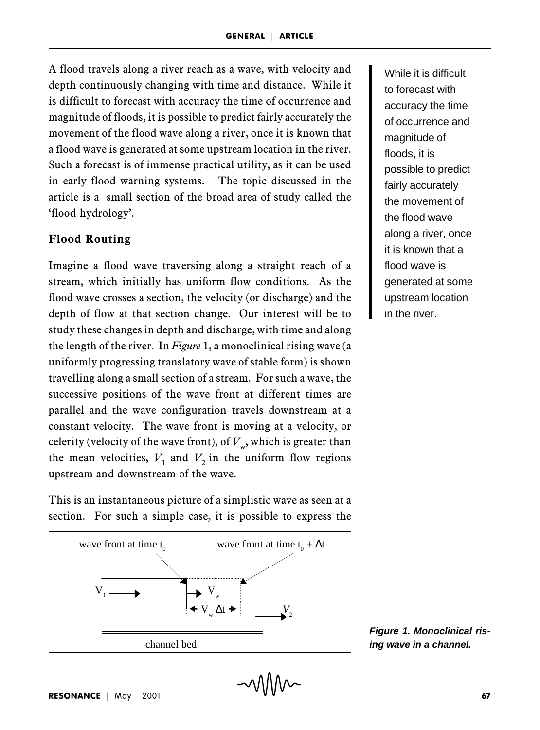A flood travels along a river reach as a wave, with velocity and depth continuously changing with time and distance. While it is difficult to forecast with accuracy the time of occurrence and magnitude of floods, it is possible to predict fairly accurately the movement of the flood wave along a river, once it is known that a flood wave is generated at some upstream location in the river. Such a forecast is of immense practical utility, as it can be used in early flood warning systems. The topic discussed in the article is a small section of the broad area of study called the 'flood hydrology'.

## **Flood Routing**

Imagine a flood wave traversing along a straight reach of a stream, which initially has uniform flow conditions. As the flood wave crosses a section, the velocity (or discharge) and the depth of flow at that section change. Our interest will be to study these changes in depth and discharge, with time and along the length of the river. In *Figure* 1, a monoclinical rising wave (a uniformly progressing translatory wave of stable form) is shown travelling along a small section of a stream. For such a wave, the successive positions of the wave front at different times are parallel and the wave configuration travels downstream at a constant velocity. The wave front is moving at a velocity, or celerity (velocity of the wave front), of  $V_w$ , which is greater than the mean velocities,  $V_1$  and  $V_2$  in the uniform flow regions upstream and downstream of the wave.

This is an instantaneous picture of a simplistic wave as seen at a section. For such a simple case, it is possible to express the



While it is difficult to forecast with accuracy the time of occurrence and magnitude of floods, it is possible to predict fairly accurately the movement of the flood wave along a river, once it is known that a flood wave is generated at some upstream location in the river.

**Figure 1. Monoclinical ris**ing wave in a channel.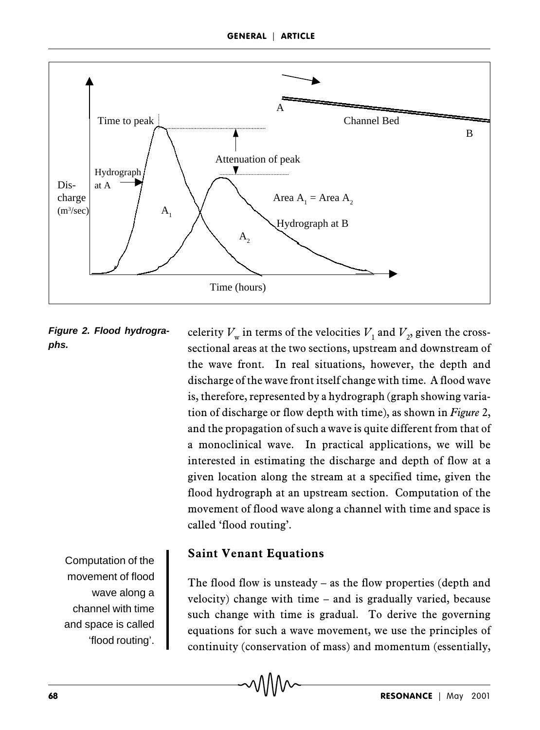



celerity  $V_{\rm w}$  in terms of the velocities  $V_{\rm 1}$  and  $V_{\rm 2}$ , given the crosssectional areas at the two sections, upstream and downstream of the wave front. In real situations, however, the depth and discharge of the wave front itself change with time. A flood wave is, therefore, represented by a hydrograph (graph showing variation of discharge or flow depth with time), as shown in Figure 2, and the propagation of such a wave is quite different from that of a monoclinical wave. In practical applications, we will be interested in estimating the discharge and depth of flow at a given location along the stream at a specified time, given the flood hydrograph at an upstream section. Computation of the movement of flood wave along a channel with time and space is called 'flood routing'.

Computation of the movement of flood wave along a channel with time and space is called 'flood routing'.

### **Saint Venant Equations**

The flood flow is unsteady  $-$  as the flow properties (depth and velocity) change with time - and is gradually varied, because such change with time is gradual. To derive the governing equations for such a wave movement, we use the principles of continuity (conservation of mass) and momentum (essentially,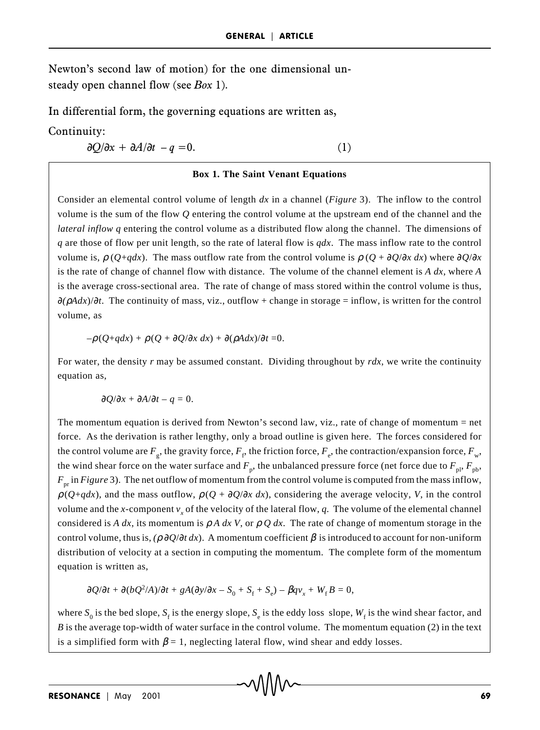Newton's second law of motion) for the one dimensional unsteady open channel flow (see  $Box$  1).

In differential form, the governing equations are written as,

Continuity:

 $\frac{\partial Q}{\partial x} + \frac{\partial A}{\partial t} - q = 0.$  (1)

#### **Box 1. The Saint Venant Equations**

Consider an elemental control volume of length *dx* in a channel (*Figure* 3). The inflow to the control volume is the sum of the flow *Q* entering the control volume at the upstream end of the channel and the *lateral inflow q* entering the control volume as a distributed flow along the channel. The dimensions of *q* are those of flow per unit length, so the rate of lateral flow is *qdx*. The mass inflow rate to the control volume is,  $\rho$  ( $Q+qdx$ ). The mass outflow rate from the control volume is  $\rho$  ( $Q + \frac{\partial Q}{\partial x} dx$ ) where  $\frac{\partial Q}{\partial x}$ is the rate of change of channel flow with distance. The volume of the channel element is *A dx*, where *A* is the average cross-sectional area. The rate of change of mass stored within the control volume is thus, ∂*(*ρ*Adx*)/∂*t*. The continuity of mass, viz., outflow + change in storage = inflow, is written for the control volume, as

$$
-\rho(Q+qdx)+\rho(Q+\partial Q/\partial x\,dx)+\partial(\rho Adx)/\partial t=0.
$$

For water, the density *r* may be assumed constant. Dividing throughout by *rdx*, we write the continuity equation as,

$$
\frac{\partial Q}{\partial x} + \frac{\partial A}{\partial t} - q = 0.
$$

The momentum equation is derived from Newton's second law, viz., rate of change of momentum = net force. As the derivation is rather lengthy, only a broad outline is given here. The forces considered for the control volume are  $F_g$ , the gravity force,  $F_f$ , the friction force,  $F_g$ , the contraction/expansion force,  $F_w$ , the wind shear force on the water surface and  $F_p$ , the unbalanced pressure force (net force due to  $F_{pl}$ ,  $F_{pb}$ ,  $F_{\infty}$  in *Figure* 3). The net outflow of momentum from the control volume is computed from the mass inflow,  $\rho(Q+qdx)$ , and the mass outflow,  $\rho(Q + \partial Q/\partial x dx)$ , considering the average velocity, *V*, in the control volume and the *x*-component  $v_x$  of the velocity of the lateral flow,  $q$ . The volume of the elemental channel considered is *A dx*, its momentum is  $\rho A dx V$ , or  $\rho Q dx$ . The rate of change of momentum storage in the control volume, thus is,  $(\rho \partial Q/\partial t dx)$ . A momentum coefficient  $\beta$  is introduced to account for non-uniform distribution of velocity at a section in computing the momentum. The complete form of the momentum equation is written as,

$$
\partial Q/\partial t + \partial (bQ^2/A)/\partial t + gA(\partial y/\partial x - S_0 + S_f + S_e) - \beta q v_x + W_f B = 0,
$$

where  $S_0$  is the bed slope,  $S_f$  is the energy slope,  $S_e$  is the eddy loss slope,  $W_f$  is the wind shear factor, and *B* is the average top-width of water surface in the control volume. The momentum equation (2) in the text is a simplified form with  $\beta = 1$ , neglecting lateral flow, wind shear and eddy losses.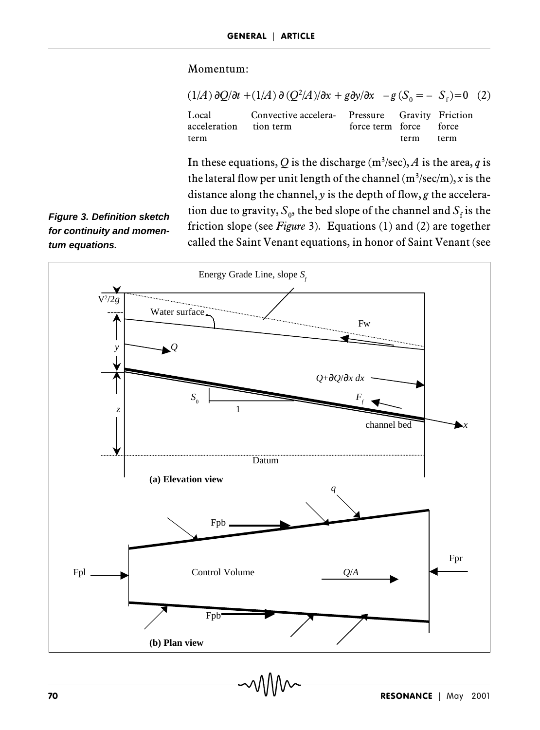#### Momentum:

| $(1/A) \frac{\partial Q}{\partial t} + (1/A) \frac{\partial (Q^2}{A})}{\partial x} + g\frac{\partial y}{\partial x} - g(S_0 = -S_f) = 0$ (2) |  |  |
|----------------------------------------------------------------------------------------------------------------------------------------------|--|--|
|----------------------------------------------------------------------------------------------------------------------------------------------|--|--|

Local Convective accelera- Pressure Gravity Friction acceleration tion term force term force force term term term

In these equations, Q is the discharge (m<sup>3</sup>/sec), A is the area, q is the lateral flow per unit length of the channel  $(m^3/sec/m)$ , x is the distance along the channel,  $y$  is the depth of flow,  $g$  the acceleration due to gravity,  ${\cal S}_{_{0}}$ , the bed slope of the channel and  ${\cal S}_{_{\rm f}}$  is the friction slope (see Figure 3). Equations  $(1)$  and  $(2)$  are together called the Saint Venant equations, in honor of Saint Venant (see

**Figure 3. Definition sketch for continuity and momentum equations.**

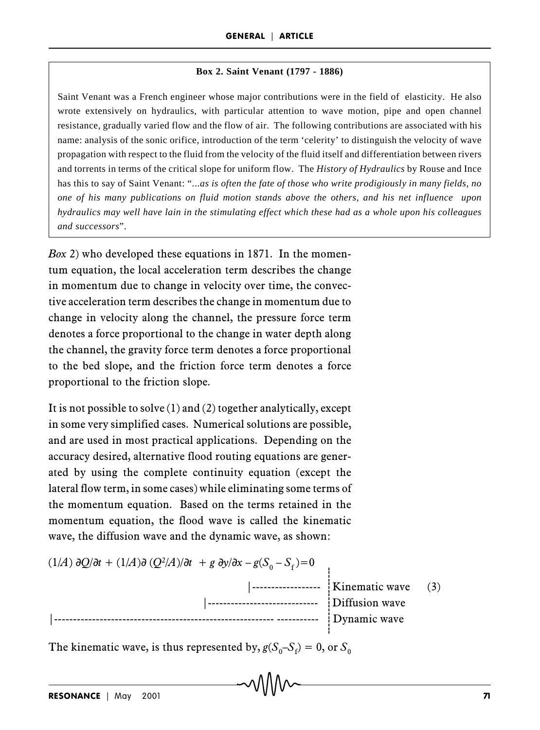#### **Box 2. Saint Venant (1797 - 1886)**

Saint Venant was a French engineer whose major contributions were in the field of elasticity. He also wrote extensively on hydraulics, with particular attention to wave motion, pipe and open channel resistance, gradually varied flow and the flow of air. The following contributions are associated with his name: analysis of the sonic orifice, introduction of the term 'celerity' to distinguish the velocity of wave propagation with respect to the fluid from the velocity of the fluid itself and differentiation between rivers and torrents in terms of the critical slope for uniform flow. The *History of Hydraulics* by Rouse and Ince has this to say of Saint Venant: "...*as is often the fate of those who write prodigiously in many fields, no one of his many publications on fluid motion stands above the others, and his net influence upon hydraulics may well have lain in the stimulating effect which these had as a whole upon his colleagues and successors*".

Box 2) who developed these equations in 1871. In the momentum equation, the local acceleration term describes the change in momentum due to change in velocity over time, the convective acceleration term describes the change in momentum due to change in velocity along the channel, the pressure force term denotes a force proportional to the change in water depth along the channel, the gravity force term denotes a force proportional to the bed slope, and the friction force term denotes a force proportional to the friction slope.

It is not possible to solve  $(1)$  and  $(2)$  together analytically, except in some very simplified cases. Numerical solutions are possible, and are used in most practical applications. Depending on the accuracy desired, alternative flood routing equations are generated by using the complete continuity equation (except the lateral flow term, in some cases) while eliminating some terms of the momentum equation. Based on the terms retained in the momentum equation, the flood wave is called the kinematic wave, the diffusion wave and the dynamic wave, as shown:

$$
(1/A) \frac{\partial Q}{\partial t} + (1/A) \frac{\partial (Q^2/A)}{\partial t} + g \frac{\partial y}{\partial x} - g(S_0 - S_f) = 0
$$
\n
$$
\begin{array}{c}\n| \text{ 1} & \text{ 1} \\
\text{ 2} & \text{ 2} \\
\text{ 3}\n\end{array}
$$
\n
$$
\begin{array}{c}\n| \text{ 2} & \text{ 3} \\
\text{ 4} & \text{ 4} \\
\text{ 5} & \text{ 5} \\
\text{ 6} & \text{ 6}\n\end{array}
$$
\n
$$
\begin{array}{c}\n| \text{ 4} & \text{ 5} \\
\text{ 5} & \text{ 6} \\
\text{ 7} & \text{ 7} \\
\text{ 8} & \text{ 8} \\
\text{ 9} & \text{ 9} \\
\text{ 1} & \text{ 9} \\
\text{ 1} & \text{ 9} \\
\text{ 1} & \text{ 9} \\
\text{ 1} & \text{ 9} \\
\text{ 1} & \text{ 9} \\
\text{ 1} & \text{ 9} \\
\text{ 1} & \text{ 9} \\
\text{ 1} & \text{ 9} \\
\text{ 1} & \text{ 9} \\
\text{ 1} & \text{ 9} \\
\text{ 1} & \text{ 9} \\
\text{ 1} & \text{ 9} \\
\text{ 1} & \text{ 9} \\
\text{ 1} & \text{ 9} \\
\text{ 1} & \text{ 9} \\
\text{ 1} & \text{ 9} \\
\text{ 1} & \text{ 9} \\
\text{ 1} & \text{ 9} \\
\text{ 1} & \text{ 9} \\
\text{ 1} & \text{ 9} \\
\text{ 1} & \text{ 9} \\
\text{ 1} & \text{ 9} \\
\text{ 1} & \text{ 9} \\
\text{ 1} & \text{ 9} \\
\text{ 1} & \text{ 9} \\
\text{ 1} & \text{ 9} \\
\text{ 1} & \text{ 9} \\
\text{ 1} & \text{ 9} \\
\text{ 1} & \text{ 9} \\
\text{ 1} & \text{ 9} \\
\text{ 1} & \text{ 9} \\
\text{ 1} & \text{ 9} \\
\text{ 1} & \text{ 9} \\
\text{ 1} & \text{ 9} \\
\text{
$$

The kinematic wave, is thus represented by,  $g(S_0-S_f) = 0$ , or  $S_0$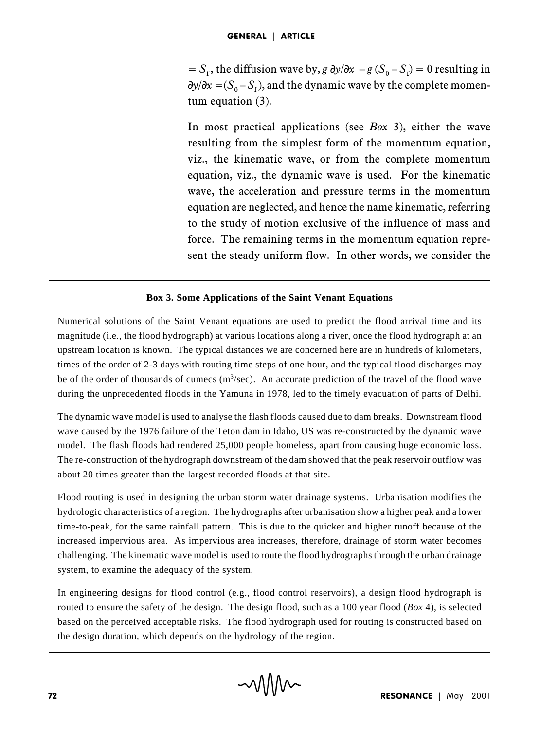$S_f$ , the diffusion wave by, g  $\partial y/\partial x - g(S_0 - S_f) = 0$  resulting in  $\partial y/\partial x = (S_0 - S_f)$ , and the dynamic wave by the complete momentum equation  $(3)$ .

In most practical applications (see  $Box$  3), either the wave resulting from the simplest form of the momentum equation, viz., the kinematic wave, or from the complete momentum equation, viz., the dynamic wave is used. For the kinematic wave, the acceleration and pressure terms in the momentum equation are neglected, and hence the name kinematic, referring to the study of motion exclusive of the influence of mass and force. The remaining terms in the momentum equation represent the steady uniform flow. In other words, we consider the

#### **Box 3. Some Applications of the Saint Venant Equations**

Numerical solutions of the Saint Venant equations are used to predict the flood arrival time and its magnitude (i.e., the flood hydrograph) at various locations along a river, once the flood hydrograph at an upstream location is known. The typical distances we are concerned here are in hundreds of kilometers, times of the order of 2-3 days with routing time steps of one hour, and the typical flood discharges may be of the order of thousands of cumecs  $(m<sup>3</sup>/sec)$ . An accurate prediction of the travel of the flood wave during the unprecedented floods in the Yamuna in 1978, led to the timely evacuation of parts of Delhi.

The dynamic wave model is used to analyse the flash floods caused due to dam breaks. Downstream flood wave caused by the 1976 failure of the Teton dam in Idaho, US was re-constructed by the dynamic wave model. The flash floods had rendered 25,000 people homeless, apart from causing huge economic loss. The re-construction of the hydrograph downstream of the dam showed that the peak reservoir outflow was about 20 times greater than the largest recorded floods at that site.

Flood routing is used in designing the urban storm water drainage systems. Urbanisation modifies the hydrologic characteristics of a region. The hydrographs after urbanisation show a higher peak and a lower time-to-peak, for the same rainfall pattern. This is due to the quicker and higher runoff because of the increased impervious area. As impervious area increases, therefore, drainage of storm water becomes challenging. The kinematic wave model is used to route the flood hydrographs through the urban drainage system, to examine the adequacy of the system.

In engineering designs for flood control (e.g., flood control reservoirs), a design flood hydrograph is routed to ensure the safety of the design. The design flood, such as a 100 year flood (*Box* 4), is selected based on the perceived acceptable risks. The flood hydrograph used for routing is constructed based on the design duration, which depends on the hydrology of the region.